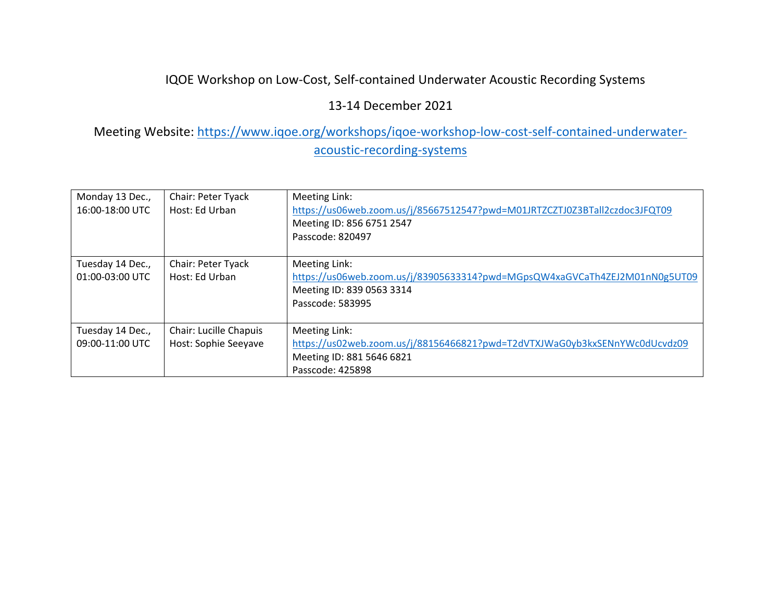## IQOE Workshop on Low‐Cost, Self‐contained Underwater Acoustic Recording Systems

### 13‐14 December 2021

## Meeting Website: https://www.iqoe.org/workshops/iqoe-workshop-low-cost-self-contained-underwateracoustic‐recording‐systems

| Monday 13 Dec.,<br>16:00-18:00 UTC  | Chair: Peter Tyack<br>Host: Ed Urban           | Meeting Link:<br>https://us06web.zoom.us/j/85667512547?pwd=M01JRTZCZTJ0Z3BTall2czdoc3JFQT09<br>Meeting ID: 856 6751 2547<br>Passcode: 820497 |
|-------------------------------------|------------------------------------------------|----------------------------------------------------------------------------------------------------------------------------------------------|
| Tuesday 14 Dec.,<br>01:00-03:00 UTC | Chair: Peter Tyack<br>Host: Ed Urban           | Meeting Link:<br>https://us06web.zoom.us/j/83905633314?pwd=MGpsQW4xaGVCaTh4ZEJ2M01nN0g5UT09<br>Meeting ID: 839 0563 3314<br>Passcode: 583995 |
| Tuesday 14 Dec.,<br>09:00-11:00 UTC | Chair: Lucille Chapuis<br>Host: Sophie Seeyave | Meeting Link:<br>https://us02web.zoom.us/j/88156466821?pwd=T2dVTXJWaG0yb3kxSENnYWc0dUcvdz09<br>Meeting ID: 881 5646 6821<br>Passcode: 425898 |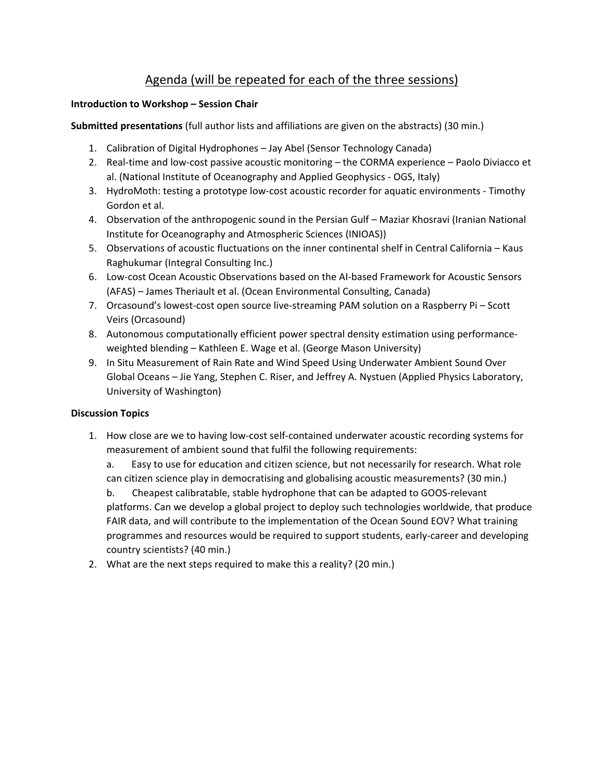### Agenda (will be repeated for each of the three sessions)

#### **Introduction to Workshop – Session Chair**

**Submitted presentations** (full author lists and affiliations are given on the abstracts) (30 min.)

- 1. Calibration of Digital Hydrophones Jay Abel (Sensor Technology Canada)
- 2. Real‐time and low‐cost passive acoustic monitoring the CORMA experience Paolo Diviacco et al. (National Institute of Oceanography and Applied Geophysics ‐ OGS, Italy)
- 3. HydroMoth: testing a prototype low‐cost acoustic recorder for aquatic environments ‐ Timothy Gordon et al.
- 4. Observation of the anthropogenic sound in the Persian Gulf Maziar Khosravi (Iranian National Institute for Oceanography and Atmospheric Sciences (INIOAS))
- 5. Observations of acoustic fluctuations on the inner continental shelf in Central California Kaus Raghukumar (Integral Consulting Inc.)
- 6. Low‐cost Ocean Acoustic Observations based on the AI‐based Framework for Acoustic Sensors (AFAS) – James Theriault et al. (Ocean Environmental Consulting, Canada)
- 7. Orcasound's lowest-cost open source live-streaming PAM solution on a Raspberry Pi Scott Veirs (Orcasound)
- 8. Autonomous computationally efficient power spectral density estimation using performanceweighted blending – Kathleen E. Wage et al. (George Mason University)
- 9. In Situ Measurement of Rain Rate and Wind Speed Using Underwater Ambient Sound Over Global Oceans – Jie Yang, Stephen C. Riser, and Jeffrey A. Nystuen (Applied Physics Laboratory, University of Washington)

#### **Discussion Topics**

- 1. How close are we to having low‐cost self‐contained underwater acoustic recording systems for measurement of ambient sound that fulfil the following requirements:
	- a. Easy to use for education and citizen science, but not necessarily for research. What role can citizen science play in democratising and globalising acoustic measurements? (30 min.)

b. Cheapest calibratable, stable hydrophone that can be adapted to GOOS‐relevant platforms. Can we develop a global project to deploy such technologies worldwide, that produce FAIR data, and will contribute to the implementation of the Ocean Sound EOV? What training programmes and resources would be required to support students, early‐career and developing country scientists? (40 min.)

2. What are the next steps required to make this a reality? (20 min.)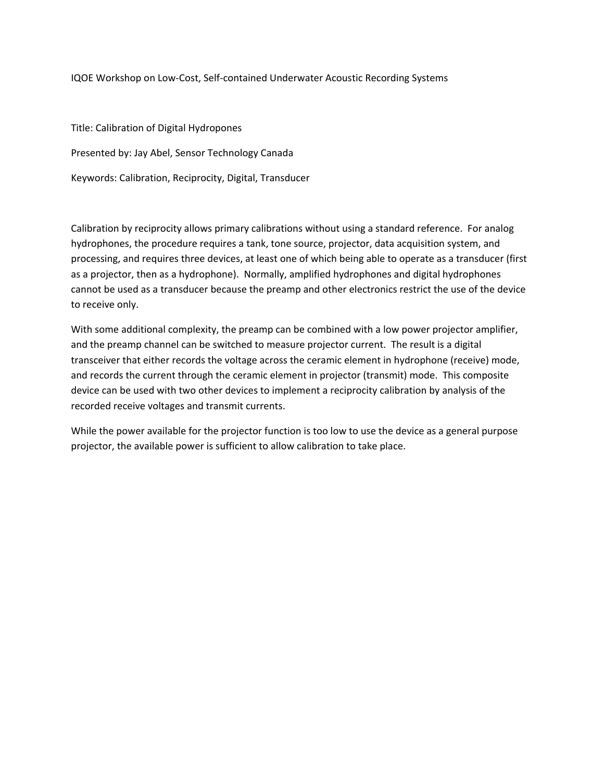IQOE Workshop on Low‐Cost, Self‐contained Underwater Acoustic Recording Systems

Title: Calibration of Digital Hydropones Presented by: Jay Abel, Sensor Technology Canada Keywords: Calibration, Reciprocity, Digital, Transducer

Calibration by reciprocity allows primary calibrations without using a standard reference. For analog hydrophones, the procedure requires a tank, tone source, projector, data acquisition system, and processing, and requires three devices, at least one of which being able to operate as a transducer (first as a projector, then as a hydrophone). Normally, amplified hydrophones and digital hydrophones cannot be used as a transducer because the preamp and other electronics restrict the use of the device to receive only.

With some additional complexity, the preamp can be combined with a low power projector amplifier, and the preamp channel can be switched to measure projector current. The result is a digital transceiver that either records the voltage across the ceramic element in hydrophone (receive) mode, and records the current through the ceramic element in projector (transmit) mode. This composite device can be used with two other devices to implement a reciprocity calibration by analysis of the recorded receive voltages and transmit currents.

While the power available for the projector function is too low to use the device as a general purpose projector, the available power is sufficient to allow calibration to take place.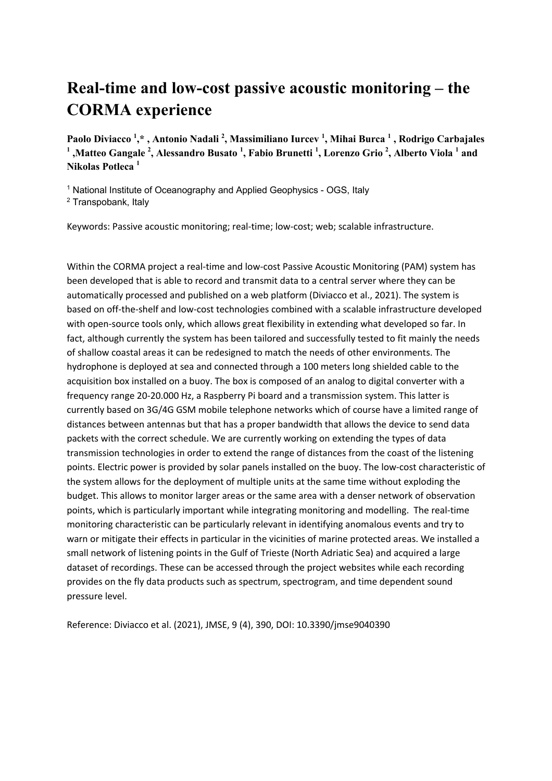# **Real-time and low-cost passive acoustic monitoring – the CORMA experience**

**Paolo Diviacco 1 ,\* , Antonio Nadali 2 , Massimiliano Iurcev 1 , Mihai Burca 1 , Rodrigo Carbajales <sup>1</sup> ,Matteo Gangale 2 , Alessandro Busato 1 , Fabio Brunetti 1 , Lorenzo Grio <sup>2</sup> , Alberto Viola 1 and Nikolas Potleca 1**

<sup>1</sup> National Institute of Oceanography and Applied Geophysics - OGS, Italy

<sup>2</sup> Transpobank, Italy

Keywords: Passive acoustic monitoring; real-time; low-cost; web; scalable infrastructure.

Within the CORMA project a real-time and low-cost Passive Acoustic Monitoring (PAM) system has been developed that is able to record and transmit data to a central server where they can be automatically processed and published on a web platform (Diviacco et al., 2021). The system is based on off-the-shelf and low-cost technologies combined with a scalable infrastructure developed with open-source tools only, which allows great flexibility in extending what developed so far. In fact, although currently the system has been tailored and successfully tested to fit mainly the needs of shallow coastal areas it can be redesigned to match the needs of other environments. The hydrophone is deployed at sea and connected through a 100 meters long shielded cable to the acquisition box installed on a buoy. The box is composed of an analog to digital converter with a frequency range 20-20.000 Hz, a Raspberry Pi board and a transmission system. This latter is currently based on 3G/4G GSM mobile telephone networks which of course have a limited range of distances between antennas but that has a proper bandwidth that allows the device to send data packets with the correct schedule. We are currently working on extending the types of data transmission technologies in order to extend the range of distances from the coast of the listening points. Electric power is provided by solar panels installed on the buoy. The low-cost characteristic of the system allows for the deployment of multiple units at the same time without exploding the budget. This allows to monitor larger areas or the same area with a denser network of observation points, which is particularly important while integrating monitoring and modelling. The real-time monitoring characteristic can be particularly relevant in identifying anomalous events and try to warn or mitigate their effects in particular in the vicinities of marine protected areas. We installed a small network of listening points in the Gulf of Trieste (North Adriatic Sea) and acquired a large dataset of recordings. These can be accessed through the project websites while each recording provides on the fly data products such as spectrum, spectrogram, and time dependent sound pressure level.

Reference: Diviacco et al. (2021), JMSE, 9 (4), 390, DOI: 10.3390/jmse9040390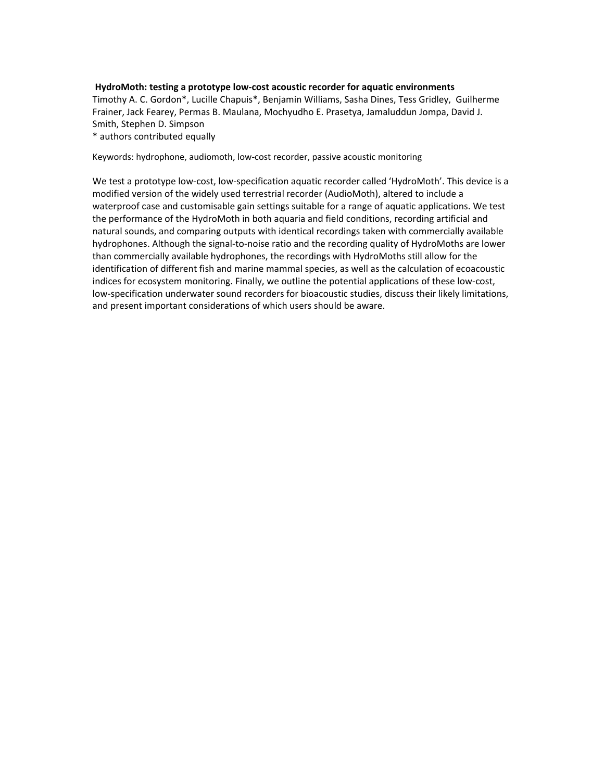#### **HydroMoth: testing a prototype low‐cost acoustic recorder for aquatic environments**

Timothy A. C. Gordon\*, Lucille Chapuis\*, Benjamin Williams, Sasha Dines, Tess Gridley, Guilherme Frainer, Jack Fearey, Permas B. Maulana, Mochyudho E. Prasetya, Jamaluddun Jompa, David J. Smith, Stephen D. Simpson

\* authors contributed equally

Keywords: hydrophone, audiomoth, low‐cost recorder, passive acoustic monitoring

We test a prototype low‐cost, low‐specification aquatic recorder called 'HydroMoth'. This device is a modified version of the widely used terrestrial recorder (AudioMoth), altered to include a waterproof case and customisable gain settings suitable for a range of aquatic applications. We test the performance of the HydroMoth in both aquaria and field conditions, recording artificial and natural sounds, and comparing outputs with identical recordings taken with commercially available hydrophones. Although the signal‐to‐noise ratio and the recording quality of HydroMoths are lower than commercially available hydrophones, the recordings with HydroMoths still allow for the identification of different fish and marine mammal species, as well as the calculation of ecoacoustic indices for ecosystem monitoring. Finally, we outline the potential applications of these low‐cost, low‐specification underwater sound recorders for bioacoustic studies, discuss their likely limitations, and present important considerations of which users should be aware.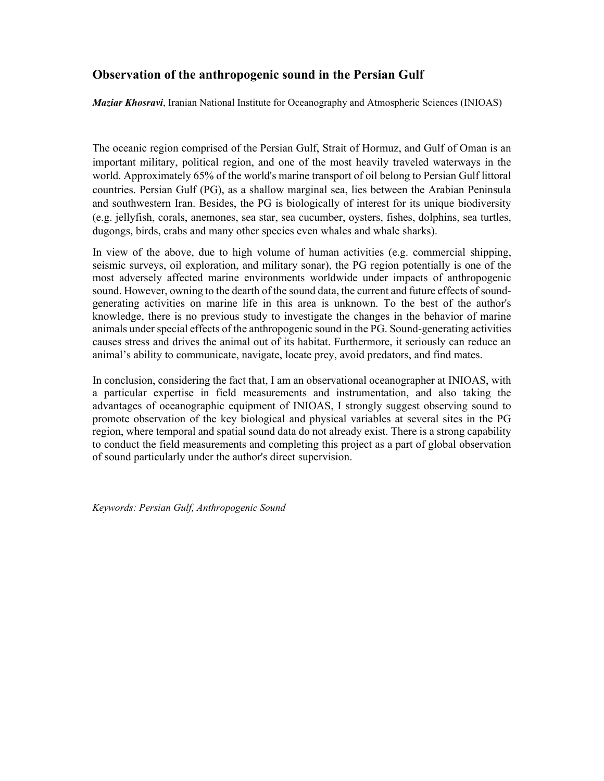### **Observation of the anthropogenic sound in the Persian Gulf**

*Maziar Khosravi*, Iranian National Institute for Oceanography and Atmospheric Sciences (INIOAS)

The oceanic region comprised of the Persian Gulf, Strait of Hormuz, and Gulf of Oman is an important military, political region, and one of the most heavily traveled waterways in the world. Approximately 65% of the world's marine transport of oil belong to Persian Gulf littoral countries. Persian Gulf (PG), as a shallow marginal sea, lies between the Arabian Peninsula and southwestern Iran. Besides, the PG is biologically of interest for its unique biodiversity (e.g. jellyfish, corals, anemones, sea star, sea cucumber, oysters, fishes, dolphins, sea turtles, dugongs, birds, crabs and many other species even whales and whale sharks).

In view of the above, due to high volume of human activities (e.g. commercial shipping, seismic surveys, oil exploration, and military sonar), the PG region potentially is one of the most adversely affected marine environments worldwide under impacts of anthropogenic sound. However, owning to the dearth of the sound data, the current and future effects of soundgenerating activities on marine life in this area is unknown. To the best of the author's knowledge, there is no previous study to investigate the changes in the behavior of marine animals under special effects of the anthropogenic sound in the PG. Sound-generating activities causes stress and drives the animal out of its habitat. Furthermore, it seriously can reduce an animal's ability to communicate, navigate, locate prey, avoid predators, and find mates.

In conclusion, considering the fact that, I am an observational oceanographer at INIOAS, with a particular expertise in field measurements and instrumentation, and also taking the advantages of oceanographic equipment of INIOAS, I strongly suggest observing sound to promote observation of the key biological and physical variables at several sites in the PG region, where temporal and spatial sound data do not already exist. There is a strong capability to conduct the field measurements and completing this project as a part of global observation of sound particularly under the author's direct supervision.

*Keywords: Persian Gulf, Anthropogenic Sound*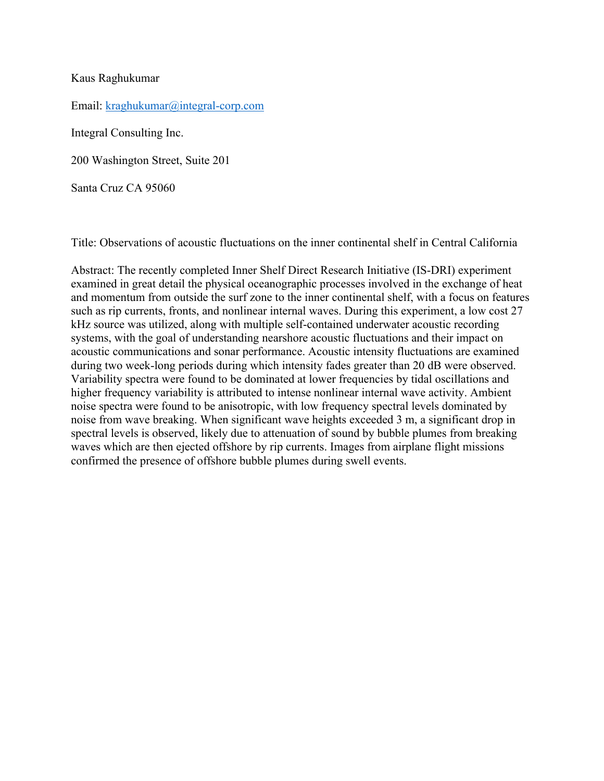#### Kaus Raghukumar

Email: kraghukumar@integral-corp.com

Integral Consulting Inc.

200 Washington Street, Suite 201

Santa Cruz CA 95060

Title: Observations of acoustic fluctuations on the inner continental shelf in Central California

Abstract: The recently completed Inner Shelf Direct Research Initiative (IS-DRI) experiment examined in great detail the physical oceanographic processes involved in the exchange of heat and momentum from outside the surf zone to the inner continental shelf, with a focus on features such as rip currents, fronts, and nonlinear internal waves. During this experiment, a low cost 27 kHz source was utilized, along with multiple self-contained underwater acoustic recording systems, with the goal of understanding nearshore acoustic fluctuations and their impact on acoustic communications and sonar performance. Acoustic intensity fluctuations are examined during two week-long periods during which intensity fades greater than 20 dB were observed. Variability spectra were found to be dominated at lower frequencies by tidal oscillations and higher frequency variability is attributed to intense nonlinear internal wave activity. Ambient noise spectra were found to be anisotropic, with low frequency spectral levels dominated by noise from wave breaking. When significant wave heights exceeded 3 m, a significant drop in spectral levels is observed, likely due to attenuation of sound by bubble plumes from breaking waves which are then ejected offshore by rip currents. Images from airplane flight missions confirmed the presence of offshore bubble plumes during swell events.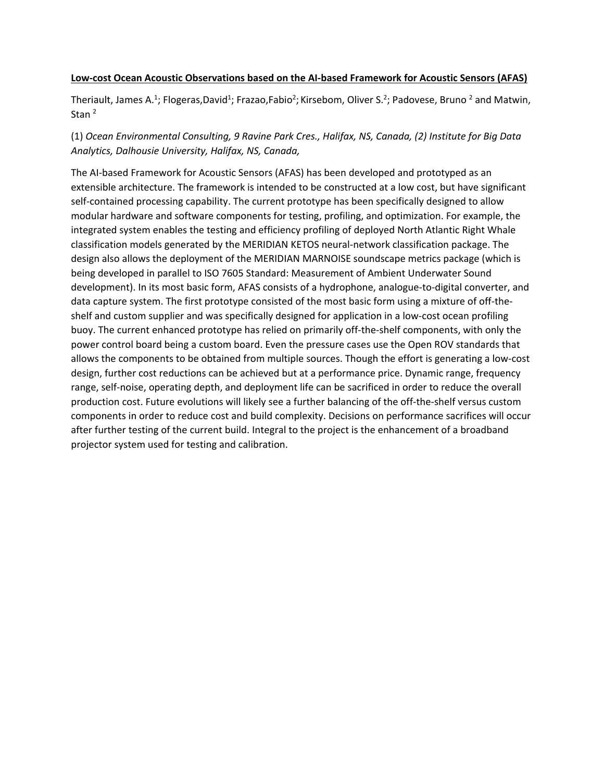#### **Low‐cost Ocean Acoustic Observations based on the AI‐based Framework for Acoustic Sensors (AFAS)**

Theriault, James A.<sup>1</sup>; Flogeras,David<sup>1</sup>; Frazao,Fabio<sup>2</sup>; Kirsebom, Oliver S.<sup>2</sup>; Padovese, Bruno <sup>2</sup> and Matwin, Stan<sup>2</sup>

(1) *Ocean Environmental Consulting, 9 Ravine Park Cres., Halifax, NS, Canada, (2) Institute for Big Data Analytics, Dalhousie University, Halifax, NS, Canada,* 

The AI‐based Framework for Acoustic Sensors (AFAS) has been developed and prototyped as an extensible architecture. The framework is intended to be constructed at a low cost, but have significant self-contained processing capability. The current prototype has been specifically designed to allow modular hardware and software components for testing, profiling, and optimization. For example, the integrated system enables the testing and efficiency profiling of deployed North Atlantic Right Whale classification models generated by the MERIDIAN KETOS neural‐network classification package. The design also allows the deployment of the MERIDIAN MARNOISE soundscape metrics package (which is being developed in parallel to ISO 7605 Standard: Measurement of Ambient Underwater Sound development). In its most basic form, AFAS consists of a hydrophone, analogue‐to‐digital converter, and data capture system. The first prototype consisted of the most basic form using a mixture of off-theshelf and custom supplier and was specifically designed for application in a low‐cost ocean profiling buoy. The current enhanced prototype has relied on primarily off‐the‐shelf components, with only the power control board being a custom board. Even the pressure cases use the Open ROV standards that allows the components to be obtained from multiple sources. Though the effort is generating a low‐cost design, further cost reductions can be achieved but at a performance price. Dynamic range, frequency range, self‐noise, operating depth, and deployment life can be sacrificed in order to reduce the overall production cost. Future evolutions will likely see a further balancing of the off‐the‐shelf versus custom components in order to reduce cost and build complexity. Decisions on performance sacrifices will occur after further testing of the current build. Integral to the project is the enhancement of a broadband projector system used for testing and calibration.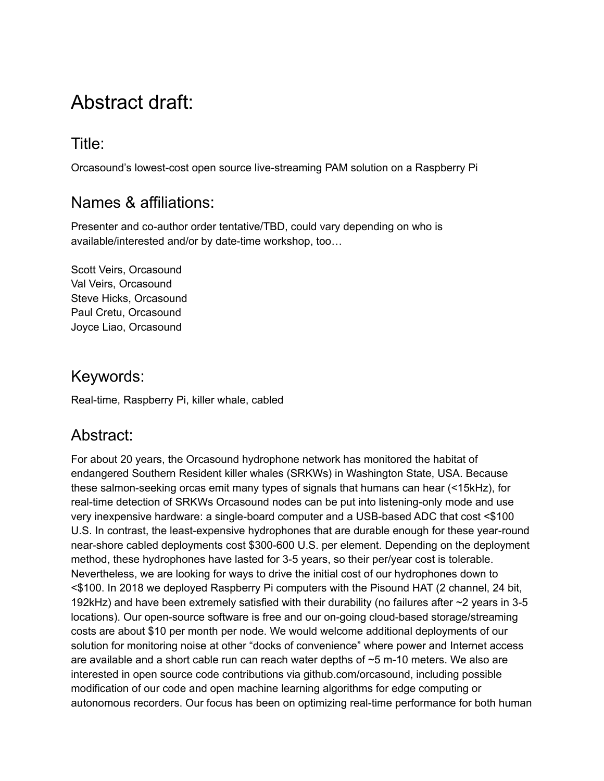# Abstract draft:

## Title:

Orcasound's lowest-cost open source live-streaming PAM solution on a Raspberry Pi

## Names & affiliations:

Presenter and co-author order tentative/TBD, could vary depending on who is available/interested and/or by date-time workshop, too…

Scott Veirs, Orcasound Val Veirs, Orcasound Steve Hicks, Orcasound Paul Cretu, Orcasound Joyce Liao, Orcasound

## Keywords:

Real-time, Raspberry Pi, killer whale, cabled

## Abstract:

For about 20 years, the Orcasound hydrophone network has monitored the habitat of endangered Southern Resident killer whales (SRKWs) in Washington State, USA. Because these salmon-seeking orcas emit many types of signals that humans can hear (<15kHz), for real-time detection of SRKWs Orcasound nodes can be put into listening-only mode and use very inexpensive hardware: a single-board computer and a USB-based ADC that cost <\$100 U.S. In contrast, the least-expensive hydrophones that are durable enough for these year-round near-shore cabled deployments cost \$300-600 U.S. per element. Depending on the deployment method, these hydrophones have lasted for 3-5 years, so their per/year cost is tolerable. Nevertheless, we are looking for ways to drive the initial cost of our hydrophones down to <\$100. In 2018 we deployed Raspberry Pi computers with the Pisound HAT (2 channel, 24 bit, 192kHz) and have been extremely satisfied with their durability (no failures after ~2 years in 3-5 locations). Our open-source software is free and our on-going cloud-based storage/streaming costs are about \$10 per month per node. We would welcome additional deployments of our solution for monitoring noise at other "docks of convenience" where power and Internet access are available and a short cable run can reach water depths of ~5 m-10 meters. We also are interested in open source code contributions via github.com/orcasound, including possible modification of our code and open machine learning algorithms for edge computing or autonomous recorders. Our focus has been on optimizing real-time performance for both human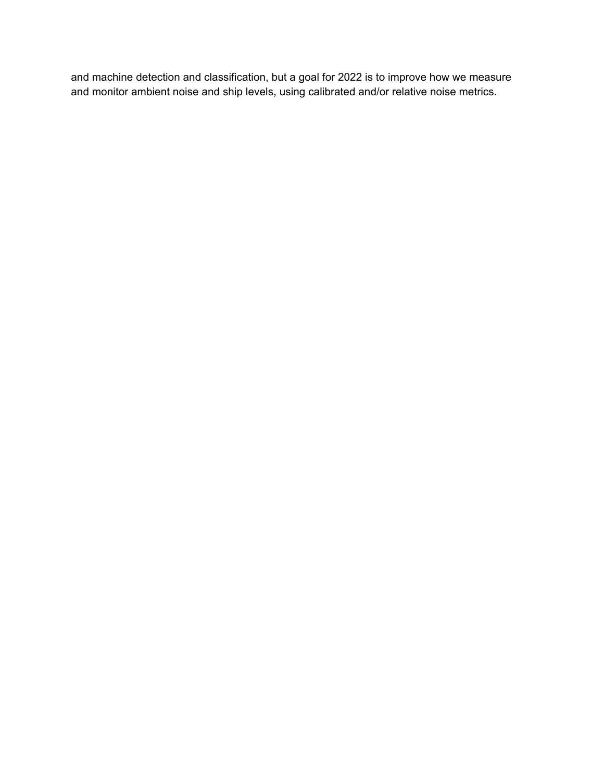and machine detection and classification, but a goal for 2022 is to improve how we measure and monitor ambient noise and ship levels, using calibrated and/or relative noise metrics.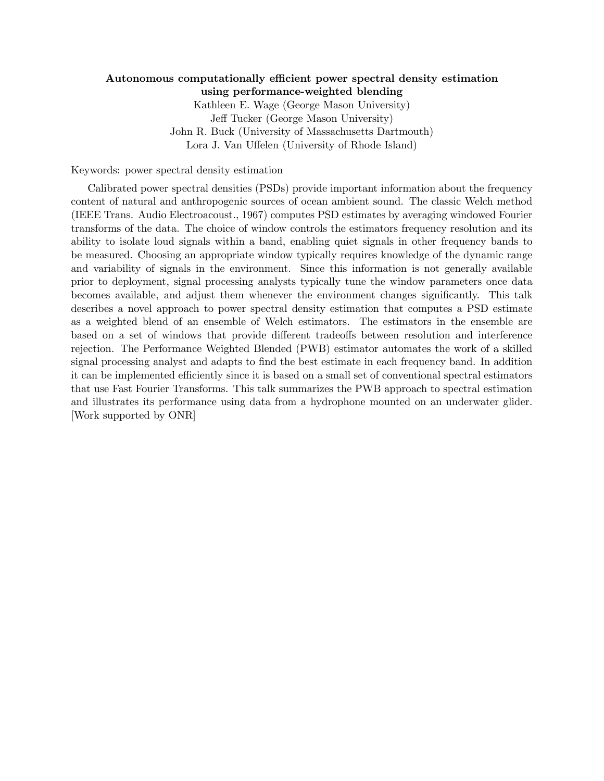#### Autonomous computationally efficient power spectral density estimation using performance-weighted blending

Kathleen E. Wage (George Mason University) Jeff Tucker (George Mason University) John R. Buck (University of Massachusetts Dartmouth) Lora J. Van Uffelen (University of Rhode Island)

Keywords: power spectral density estimation

Calibrated power spectral densities (PSDs) provide important information about the frequency content of natural and anthropogenic sources of ocean ambient sound. The classic Welch method (IEEE Trans. Audio Electroacoust., 1967) computes PSD estimates by averaging windowed Fourier transforms of the data. The choice of window controls the estimators frequency resolution and its ability to isolate loud signals within a band, enabling quiet signals in other frequency bands to be measured. Choosing an appropriate window typically requires knowledge of the dynamic range and variability of signals in the environment. Since this information is not generally available prior to deployment, signal processing analysts typically tune the window parameters once data becomes available, and adjust them whenever the environment changes significantly. This talk describes a novel approach to power spectral density estimation that computes a PSD estimate as a weighted blend of an ensemble of Welch estimators. The estimators in the ensemble are based on a set of windows that provide different tradeoffs between resolution and interference rejection. The Performance Weighted Blended (PWB) estimator automates the work of a skilled signal processing analyst and adapts to find the best estimate in each frequency band. In addition it can be implemented efficiently since it is based on a small set of conventional spectral estimators that use Fast Fourier Transforms. This talk summarizes the PWB approach to spectral estimation and illustrates its performance using data from a hydrophone mounted on an underwater glider. [Work supported by ONR]